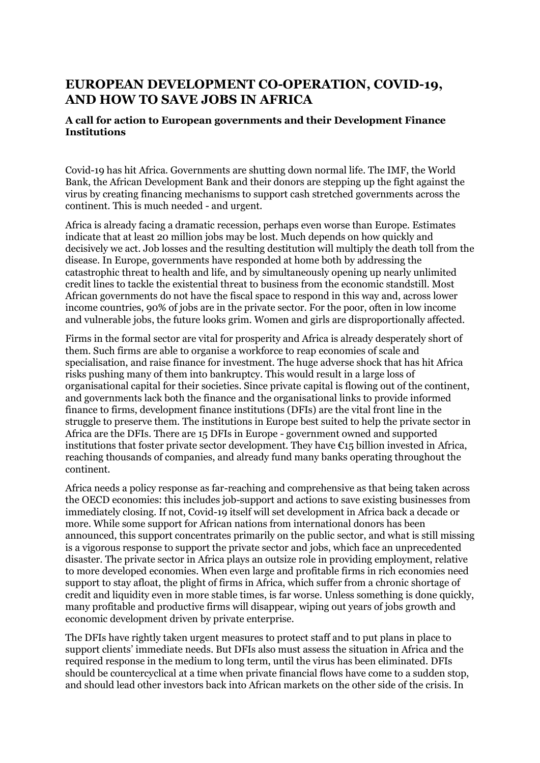## **EUROPEAN DEVELOPMENT CO-OPERATION, COVID-19, AND HOW TO SAVE JOBS IN AFRICA**

## **A call for action to European governments and their Development Finance Institutions**

Covid-19 has hit Africa. Governments are shutting down normal life. The IMF, the World Bank, the African Development Bank and their donors are stepping up the fight against the virus by creating financing mechanisms to support cash stretched governments across the continent. This is much needed - and urgent.

Africa is already facing a dramatic recession, perhaps even worse than Europe. Estimates indicate that at least 20 million jobs may be lost. Much depends on how quickly and decisively we act. Job losses and the resulting destitution will multiply the death toll from the disease. In Europe, governments have responded at home both by addressing the catastrophic threat to health and life, and by simultaneously opening up nearly unlimited credit lines to tackle the existential threat to business from the economic standstill. Most African governments do not have the fiscal space to respond in this way and, across lower income countries, 90% of jobs are in the private sector. For the poor, often in low income and vulnerable jobs, the future looks grim. Women and girls are disproportionally affected.

Firms in the formal sector are vital for prosperity and Africa is already desperately short of them. Such firms are able to organise a workforce to reap economies of scale and specialisation, and raise finance for investment. The huge adverse shock that has hit Africa risks pushing many of them into bankruptcy. This would result in a large loss of organisational capital for their societies. Since private capital is flowing out of the continent, and governments lack both the finance and the organisational links to provide informed finance to firms, development finance institutions (DFIs) are the vital front line in the struggle to preserve them. The institutions in Europe best suited to help the private sector in Africa are the DFIs. There are 15 DFIs in Europe - government owned and supported institutions that foster private sector development. They have  $\epsilon_{15}$  billion invested in Africa, reaching thousands of companies, and already fund many banks operating throughout the continent.

Africa needs a policy response as far-reaching and comprehensive as that being taken across the OECD economies: this includes job-support and actions to save existing businesses from immediately closing. If not, Covid-19 itself will set development in Africa back a decade or more. While some support for African nations from international donors has been announced, this support concentrates primarily on the public sector, and what is still missing is a vigorous response to support the private sector and jobs, which face an unprecedented disaster. The private sector in Africa plays an outsize role in providing employment, relative to more developed economies. When even large and profitable firms in rich economies need support to stay afloat, the plight of firms in Africa, which suffer from a chronic shortage of credit and liquidity even in more stable times, is far worse. Unless something is done quickly, many profitable and productive firms will disappear, wiping out years of jobs growth and economic development driven by private enterprise.

The DFIs have rightly taken urgent measures to protect staff and to put plans in place to support clients' immediate needs. But DFIs also must assess the situation in Africa and the required response in the medium to long term, until the virus has been eliminated. DFIs should be countercyclical at a time when private financial flows have come to a sudden stop, and should lead other investors back into African markets on the other side of the crisis. In